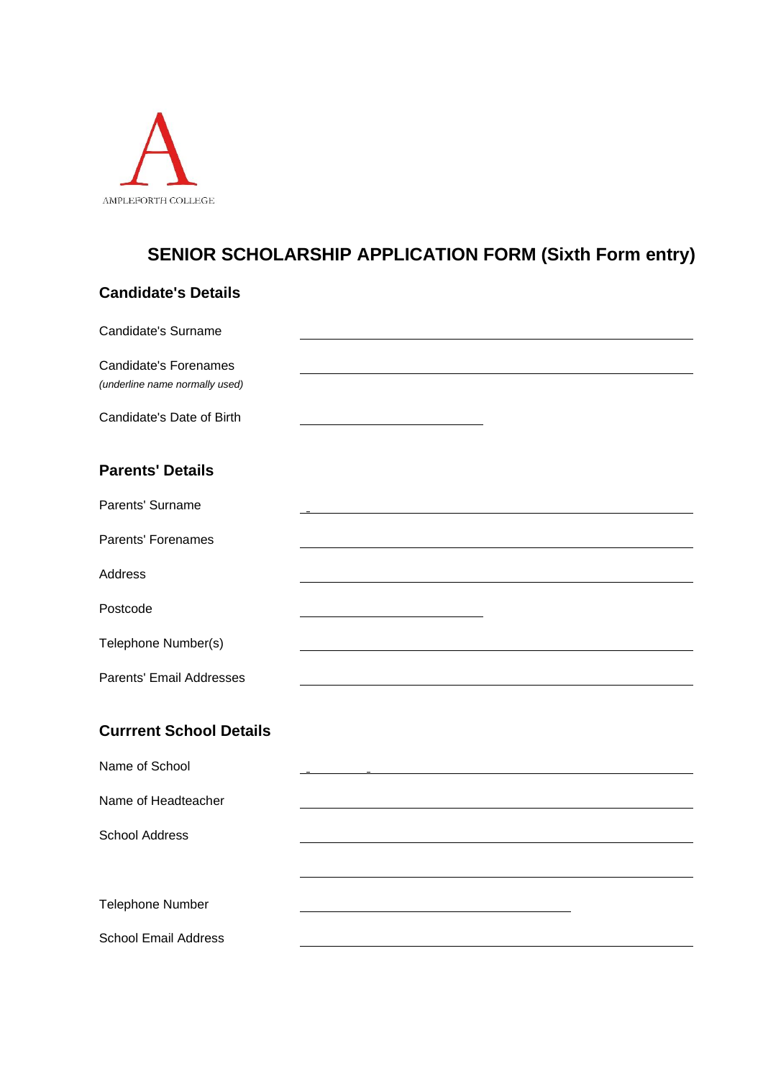

## **SENIOR SCHOLARSHIP APPLICATION FORM (Sixth Form entry)**

| <b>Candidate's Details</b>                                     |  |
|----------------------------------------------------------------|--|
| Candidate's Surname                                            |  |
| <b>Candidate's Forenames</b><br>(underline name normally used) |  |
| Candidate's Date of Birth                                      |  |
| <b>Parents' Details</b>                                        |  |
| Parents' Surname                                               |  |
| Parents' Forenames                                             |  |
| Address                                                        |  |
| Postcode                                                       |  |
| Telephone Number(s)                                            |  |
| Parents' Email Addresses                                       |  |
| <b>Currrent School Details</b>                                 |  |
| Name of School                                                 |  |
| Name of Headteacher                                            |  |
| <b>School Address</b>                                          |  |
|                                                                |  |
| Telephone Number                                               |  |
| <b>School Email Address</b>                                    |  |